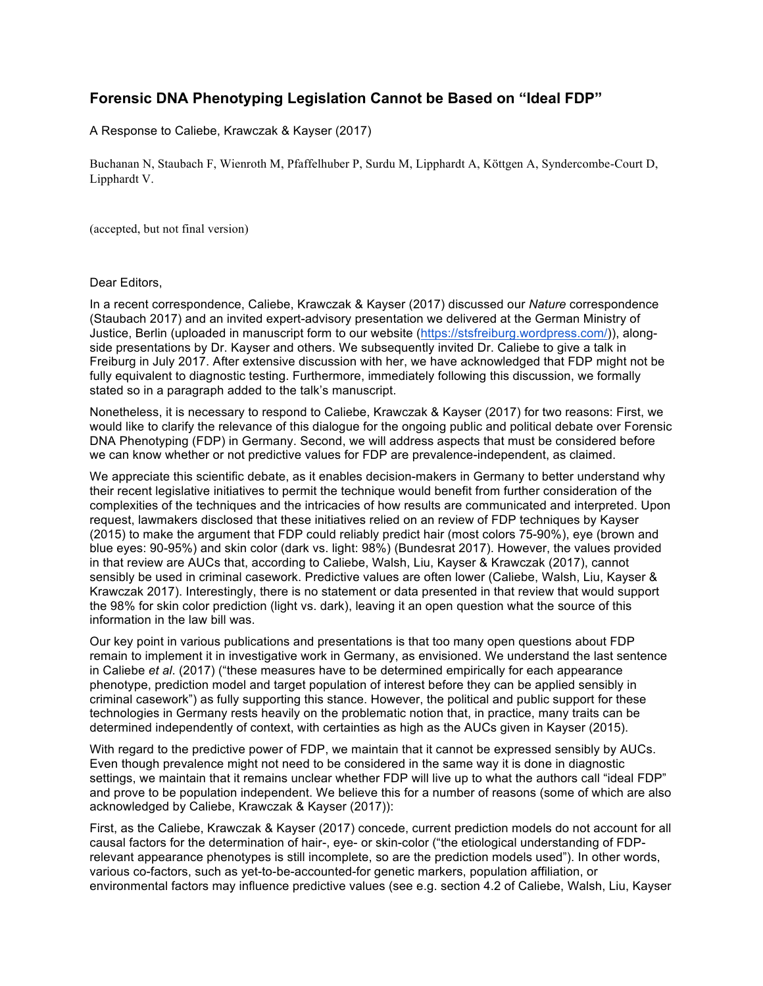## **Forensic DNA Phenotyping Legislation Cannot be Based on "Ideal FDP"**

A Response to Caliebe, Krawczak & Kayser (2017)

Buchanan N, Staubach F, Wienroth M, Pfaffelhuber P, Surdu M, Lipphardt A, Köttgen A, Syndercombe-Court D, Lipphardt V.

(accepted, but not final version)

## Dear Editors,

In a recent correspondence, Caliebe, Krawczak & Kayser (2017) discussed our *Nature* correspondence (Staubach 2017) and an invited expert-advisory presentation we delivered at the German Ministry of Justice, Berlin (uploaded in manuscript form to our website (https://stsfreiburg.wordpress.com/)), alongside presentations by Dr. Kayser and others. We subsequently invited Dr. Caliebe to give a talk in Freiburg in July 2017. After extensive discussion with her, we have acknowledged that FDP might not be fully equivalent to diagnostic testing. Furthermore, immediately following this discussion, we formally stated so in a paragraph added to the talk's manuscript.

Nonetheless, it is necessary to respond to Caliebe, Krawczak & Kayser (2017) for two reasons: First, we would like to clarify the relevance of this dialogue for the ongoing public and political debate over Forensic DNA Phenotyping (FDP) in Germany. Second, we will address aspects that must be considered before we can know whether or not predictive values for FDP are prevalence-independent, as claimed.

We appreciate this scientific debate, as it enables decision-makers in Germany to better understand why their recent legislative initiatives to permit the technique would benefit from further consideration of the complexities of the techniques and the intricacies of how results are communicated and interpreted. Upon request, lawmakers disclosed that these initiatives relied on an review of FDP techniques by Kayser (2015) to make the argument that FDP could reliably predict hair (most colors 75-90%), eye (brown and blue eyes: 90-95%) and skin color (dark vs. light: 98%) (Bundesrat 2017). However, the values provided in that review are AUCs that, according to Caliebe, Walsh, Liu, Kayser & Krawczak (2017), cannot sensibly be used in criminal casework. Predictive values are often lower (Caliebe, Walsh, Liu, Kayser & Krawczak 2017). Interestingly, there is no statement or data presented in that review that would support the 98% for skin color prediction (light vs. dark), leaving it an open question what the source of this information in the law bill was.

Our key point in various publications and presentations is that too many open questions about FDP remain to implement it in investigative work in Germany, as envisioned. We understand the last sentence in Caliebe *et al*. (2017) ("these measures have to be determined empirically for each appearance phenotype, prediction model and target population of interest before they can be applied sensibly in criminal casework") as fully supporting this stance. However, the political and public support for these technologies in Germany rests heavily on the problematic notion that, in practice, many traits can be determined independently of context, with certainties as high as the AUCs given in Kayser (2015).

With regard to the predictive power of FDP, we maintain that it cannot be expressed sensibly by AUCs. Even though prevalence might not need to be considered in the same way it is done in diagnostic settings, we maintain that it remains unclear whether FDP will live up to what the authors call "ideal FDP" and prove to be population independent. We believe this for a number of reasons (some of which are also acknowledged by Caliebe, Krawczak & Kayser (2017)):

First, as the Caliebe, Krawczak & Kayser (2017) concede, current prediction models do not account for all causal factors for the determination of hair-, eye- or skin-color ("the etiological understanding of FDPrelevant appearance phenotypes is still incomplete, so are the prediction models used"). In other words, various co-factors, such as yet-to-be-accounted-for genetic markers, population affiliation, or environmental factors may influence predictive values (see e.g. section 4.2 of Caliebe, Walsh, Liu, Kayser